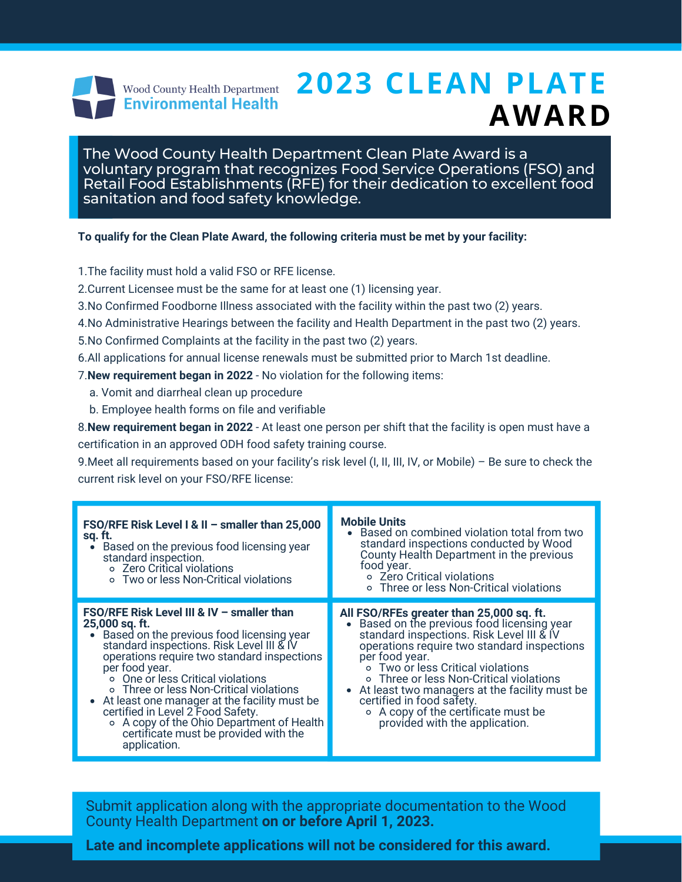

# **AWARD 2023 CLEAN PLATE**

The Wood County Health Department Clean Plate Award is a voluntary program that recognizes Food Service Operations (FSO) and Retail Food Establishments (RFE) for their dedication to excellent food sanitation and food safety knowledge.

#### **To qualify for the Clean Plate Award, the following criteria must be met by your facility:**

1.The facility must hold a valid FSO or RFE license.

- 2.Current Licensee must be the same for at least one (1) licensing year.
- 3.No Confirmed Foodborne Illness associated with the facility within the past two (2) years.
- 4.No Administrative Hearings between the facility and Health Department in the past two (2) years.
- 5.No Confirmed Complaints at the facility in the past two (2) years.
- 6.All applications for annual license renewals must be submitted prior to March 1st deadline.

7.**New requirement began in 2022** - No violation for the following items:

- a. Vomit and diarrheal clean up procedure
- b. Employee health forms on file and verifiable

8.**New requirement began in 2022** - At least one person per shift that the facility is open must have a certification in an approved ODH food safety training course.

9. Meet all requirements based on your facility's risk level (I, II, III, IV, or Mobile) - Be sure to check the current risk level on your FSO/RFE license:

| FSO/RFE Risk Level I & II - smaller than 25,000<br>sq. ft.<br>Based on the previous food licensing year<br>standard inspection.<br>○ Zero Critical violations<br>○ Two or less Non-Critical violations                                                                                                                                                                                                                                                                                               | <b>Mobile Units</b><br>Based on combined violation total from two<br>$\bullet$<br>standard inspections conducted by Wood<br>County Health Department in the previous<br>food year.<br>○ Zero Critical violations<br>○ Three or less Non-Critical violations                                                                                                                                                                                  |
|------------------------------------------------------------------------------------------------------------------------------------------------------------------------------------------------------------------------------------------------------------------------------------------------------------------------------------------------------------------------------------------------------------------------------------------------------------------------------------------------------|----------------------------------------------------------------------------------------------------------------------------------------------------------------------------------------------------------------------------------------------------------------------------------------------------------------------------------------------------------------------------------------------------------------------------------------------|
| FSO/RFE Risk Level III & IV - smaller than<br>25,000 sq. ft.<br>Based on the previous food licensing year<br>standard inspections. Risk Level III & IV<br>operations require two standard inspections<br>per food year.<br>○ One or less Critical violations<br>o Three or less Non-Critical violations<br>• At least one manager at the facility must be<br>certified in Level 2 Food Safety.<br>○ A copy of the Ohio Department of Health<br>certificate must be provided with the<br>application. | All FSO/RFEs greater than 25,000 sq. ft.<br>Based on the previous food licensing year<br>standard inspections. Risk Level III & IV<br>operations require two standard inspections<br>per food year.<br>○ Two or less Critical violations<br>o Three or less Non-Critical violations<br>• At least two managers at the facility must be<br>certified in food safety.<br>○ A copy of the certificate must be<br>provided with the application. |

Submit application along with the appropriate documentation to the Wood County Health Department **on or before April 1, 2023.**

**Late and incomplete applications will not be considered for this award.**